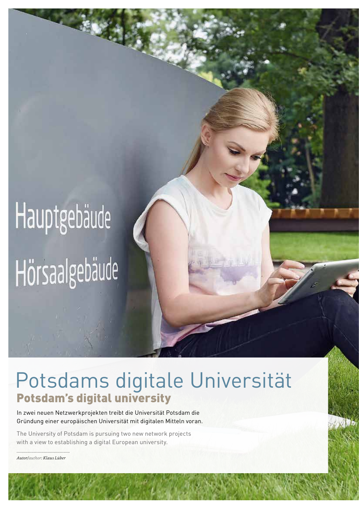# Hauptgebäude Hörsaalgebäude

### Potsdams digitale Universität Potsdam's digital university

In zwei neuen Netzwerkprojekten treibt die Universität Potsdam die Gründung einer europäischen Universität mit digitalen Mitteln voran.

The University of Potsdam is pursuing two new network projects with a view to establishing a digital European university.

........................................... *Autor/author: Klaus Lüber*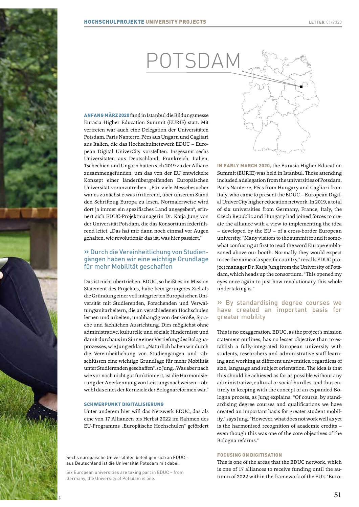## POTSDAM

ANFANG MÄRZ 2020 fand in Istanbul die Bildungsmesse Eurasia Higher Education Summit (EURIE) statt. Mit vertreten war auch eine Delegation der Universitäten Potsdam, Paris Nanterre, Pécs aus Ungarn und Cagliari aus Italien, die das Hochschulnetzwerk EDUC – European Digital UniverCity vorstellten. Insgesamt sechs Universitäten aus Deutschland, Frankreich, Italien, Tschechien und Ungarn hatten sich 2019 zu der Allianz zusammengefunden, um das von der EU entwickelte Konzept einer länderübergreifenden Europäischen Universität voranzutreiben. "Für viele Messebesucher war es zunächst etwas irritierend, über unserem Stand den Schriftzug Europa zu lesen. Normalerweise wird dort ja immer ein spezifisches Land angegeben", erinnert sich EDUC-Projektmanagerin Dr. Katja Jung von der Universität Potsdam, die das Konsortium federführend leitet. "Das hat mir dann noch einmal vor Augen gehalten, wie revolutionär das ist, was hier passiert."

#### » Durch die Vereinheitlichung von Studiengängen haben wir eine wichtige Grundlage für mehr Mobilität geschaffen

Das ist nicht übertrieben. EDUC, so heißt es im Mission Statement des Projektes, habe kein geringeres Ziel als die Gründung einer voll integrierten Europäischen Universität mit Studierenden, Forschenden und Verwaltungsmitarbeitern, die an verschiedenen Hochschulen lernen und arbeiten, unabhängig von der Größe, Sprache und fachlichen Ausrichtung. Dies möglichst ohne administrative, kulturelle und soziale Hindernisse und damit durchaus im Sinne einer Vertiefung des Bolognaprozesses, wie Jung erklärt. "Natürlich haben wir durch die Vereinheitlichung von Studiengängen und -abschlüssen eine wichtige Grundlage für mehr Mobilität unter Studierenden geschaffen", so Jung. "Was aber nach wie vor noch nicht gut funktioniert, ist die Harmonisierung der Anerkennung von Leistungsnachweisen – obwohl das eines der Kernziele der Bolognareformen war."

#### SCHWERPUNKT DIGITALISIERUNG

Unter anderem hier will das Netzwerk EDUC, das als eine von 17 Allianzen bis Herbst 2022 im Rahmen des EU-Programms "Europäische Hochschulen" gefördert

Sechs europäische Universitäten beteiligen sich an EDUC – aus Deutschland ist die Universität Potsdam mit dabei.

Six European universities are taking part in EDUC – from Germany, the University of Potsdam is one.

å

IN EARLY MARCH 2020, the Eurasia Higher Education Summit (EURIE) was held in Istanbul. Those attending included a delegation from the universities of Potsdam, Paris Nanterre, Pécs from Hungary and Cagliari from Italy, who came to present the EDUC – European Digital UniverCity higher education network. In 2019, a total of six universities from Germany, France, Italy, the Czech Republic and Hungary had joined forces to create the alliance with a view to implementing the idea – developed by the EU – of a cross-border European university. "Many visitors to the summit found it somewhat confusing at first to read the word Europe emblazoned above our booth. Normally they would expect to see the name of a specific country," recalls EDUC project manager Dr. Katja Jung from the University of Potsdam, which heads up the consortium. "This opened my eyes once again to just how revolutionary this whole undertaking is."

#### » By standardising degree courses we have created an important basis for greater mobility

This is no exaggeration. EDUC, as the project's mission statement outlines, has no lesser objective than to establish a fully-integrated European university with students, researchers and administrative staff learning and working at different universities, regardless of size, language and subject orientation. The idea is that this should be achieved as far as possible without any administrative, cultural or social hurdles, and thus entirely in keeping with the concept of an expanded Bologna process, as Jung explains. "Of course, by standardising degree courses and qualifications we have created an important basis for greater student mobility," says Jung. "However, what does not work well as yet is the harmonised recognition of academic credits – even though this was one of the core objectives of the Bologna reforms."

#### FOCUSING ON DIGITISATION

This is one of the areas that the EDUC network, which is one of 17 alliances to receive funding until the autumn of 2022 within the framework of the EU's "Euro-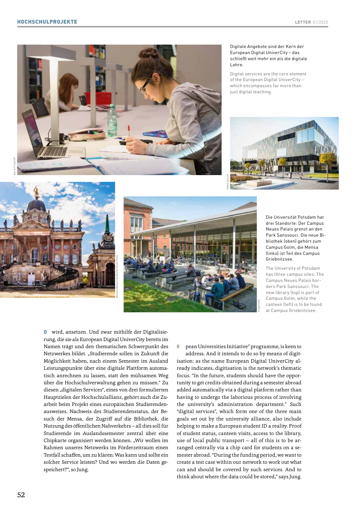

Bernard Bialorucki/Alamy Stock Photo

#### Digitale Angebote sind der Kern der European Digital UniverCity – das schließt weit mehr ein als die digitale Lehre.

Digital services are the core element of the European Digital UniverCity – which encompasses far more than just digital teaching.







Die Universität Potsdam hat drei Standorte: Der Campus Neues Palais grenzt an den Park Sanssouci. Die neue Bibliothek (oben) gehört zum Campus Golm, die Mensa (links) ist Teil des Campus Griebnitzsee.

The University of Potsdam has three campus sites: The Campus Neues Palais borders Park Sanssouci. The new library (top) is part of Campus Golm, while the canteen (left) is to be found at Campus Griebnitzsee.

**D** wird, ansetzen. Und zwar mithilfe der Digitalisierung, die sie als European Digital UniverCity bereits im Namen trägt und den thematischen Schwerpunkt des Netzwerkes bildet. "Studierende sollen in Zukunft die Möglichkeit haben, nach einem Semester im Ausland Leistungspunkte über eine digitale Plattform automatisch anrechnen zu lassen, statt den mühsamen Weg über die Hochschulverwaltung gehen zu müssen." Zu diesen "digitalen Services", eines von drei formulierten Hauptzielen der Hochschulallianz, gehört auch die Zuarbeit beim Projekt eines europäischen Studierendenausweises. Nachweis des Studierendenstatus, der Besuch der Mensa, der Zugriff auf die Bibliothek, die Nutzung des öffentlichen Nahverkehrs – all dies soll für Studierende im Auslandssemester zentral über eine Chipkarte organisiert werden können. "Wir wollen im Rahmen unseres Netzwerks im Förderzeitraum einen Testfall schaffen, um zu klären: Was kann und sollte ein solcher Service leisten? Und wo werden die Daten gespeichert?", so Jung.

pean Universities Initiative" programme, is keen to E

address. And it intends to do so by means of digitisation: as the name European Digital UniverCity already indicates, digitisation is the network's thematic focus. "In the future, students should have the opportunity to get credits obtained during a semester abroad added automatically via a digital platform rather than having to undergo the laborious process of involving the university's administration department." Such "digital services", which form one of the three main goals set out by the university alliance, also include helping to make a European student ID a reality. Proof of student status, canteen visits, access to the library, use of local public transport – all of this is to be arranged centrally via a chip card for students on a semester abroad. "During the funding period, we want to create a test case within our network to work out what can and should be covered by such services. And to think about where the data could be stored," says Jung.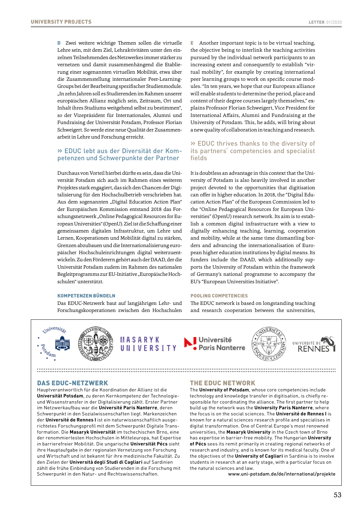D Zwei weitere wichtige Themen sollen die virtuelle E Lehre sein, mit dem Ziel, Lehraktivitäten unter den einzelnen Teilnehmenden des Netzwerkes immer stärker zu vernetzen und damit zusammenhängend die Etablierung einer sogenannten virtuellen Mobilität, etwa über die Zusammenstellung internationaler Peer-Learning-Groups bei der Bearbeitung spezifischer Studienmodule. "In zehn Jahren soll es Studierenden im Rahmen unserer europäischen Allianz möglich sein, Zeitraum, Ort und Inhalt ihres Studiums weitgehend selbst zu bestimmen", so der Vizepräsident für Internationales, Alumni und Fundraising der Universität Potsdam, Professor Florian Schweigert. So werde eine neue Qualität der Zusammenarbeit in Lehre und Forschung erreicht.

#### » EDUC lebt aus der Diversität der Kompetenzen und Schwerpunkte der Partner

Durchaus von Vorteil hierbei dürfte es sein, dass die Universität Potsdam sich auch im Rahmen eines weiteren Projektes stark engagiert, das sich den Chancen der Digitalisierung für den Hochschulbetrieb verschrieben hat. Aus dem sogenannten "Digital Education Action Plan" der Europäischen Kommission entstand 2018 das Forschungsnetzwerk "Online Pedagogical Resources for European Universities" (OpenU). Ziel ist die Schaffung einer gemeinsamen digitalen Infrastruktur, um Lehre und Lernen, Kooperationen und Mobilität digital zu stärken, Grenzen abzubauen und die Internationalisierung europäischer Hochschuleinrichtungen digital weiterzuentwickeln. Zu den Förderern gehört auch der DAAD, der die Universität Potsdam zudem im Rahmen des nationalen Begleitprogramms zur EU-Initiative "Europäische Hochschulen" unterstützt.

#### KOMPETENZEN BÜNDELN

Das EDUC-Netzwerk baut auf langjährigen Lehr- und Forschungskooperationen zwischen den Hochschulen

Another important topic is to be virtual teaching, the objective being to interlink the teaching activities pursued by the individual network participants to an increasing extent and consequently to establish "virtual mobility", for example by creating international peer learning groups to work on specific course modules. "In ten years, we hope that our European alliance will enable students to determine the period, place and content of their degree courses largely themselves," explains Professor Florian Schweigert, Vice President for International Affairs, Alumni and Fundraising at the University of Potsdam. This, he adds, will bring about a new quality of collaboration in teaching and research.

#### » EDUC thrives thanks to the diversity of its partners' competencies and specialist fields

It is doubtless an advantage in this context that the University of Potsdam is also heavily involved in another project devoted to the opportunities that digitisation can offer in higher education. In 2018, the "Digital Education Action Plan" of the European Commission led to the "Online Pedagogical Resources for European Universities" (OpenU) research network. Its aim is to establish a common digital infrastructure with a view to digitally enhancing teaching, learning, cooperation and mobility, while at the same time dismantling borders and advancing the internationalisation of European higher education institutions by digital means. Its funders include the DAAD, which additionally supports the University of Potsdam within the framework of Germany's national programme to accompany the EU's "European Universities Initiative".

#### POOLING COMPETENCIES

The EDUC network is based on longstanding teaching and research cooperation between the universities,





MASARYK UNIVERSITY







#### DAS EDUC-NETZWERK

Hauptverantwortlich für die Koordination der Allianz ist die **Universität Potsdam**, zu deren Kernkompetenz der Technologieund Wissenstransfer in der Digitalisierung zählt. Erster Partner im Netzwerkaufbau war die **Université Paris Nanterre**, deren Schwerpunkt in den Sozialwissenschaften liegt. Markenzeichen der **Université de Rennes I** ist ein naturwissenschaftlich ausgerichtetes Forschungsprofil mit dem Schwerpunkt Digitale Transformation. Die **Masaryk Universität** im tschechischen Brno, eine der renommiertesten Hochschulen in Mitteleuropa, hat Expertise in barrierefreier Mobilität. Die ungarische **Universität Pécs** sieht ihre Hauptaufgabe in der regionalen Vernetzung von Forschung und Wirtschaft und ist bekannt für ihre medizinische Fakultät. Zu den Zielen der **Università degli Studi di Cagliari** auf Sardinien zählt die frühe Einbindung von Studierenden in die Forschung mit Schwerpunkt in den Natur- und Rechtswissenschaften.

#### THE EDUC NETWORK

The **University of Potsdam**, whose core competencies include technology and knowledge transfer in digitisation, is chiefly responsible for coordinating the alliance. The first partner to help build up the network was the **University Paris Nanterre**, where the focus is on the social sciences. The **Université de Rennes I** is known for a natural sciences research profile and specialises in digital transformation. One of Central Europe's most renowned universities, the **Masaryk University** in the Czech town of Brno has expertise in barrier-free mobility. The Hungarian **University of Pécs** sees its remit primarily in creating regional networks of research and industry, and is known for its medical faculty. One of the objectives of the **University of Cagliari** in Sardinia is to involve students in research at an early stage, with a particular focus on the natural sciences and law.

[www.uni-potsdam.de/de/international/projekte](http://www.uni-potsdam.de/de/international/projekte)